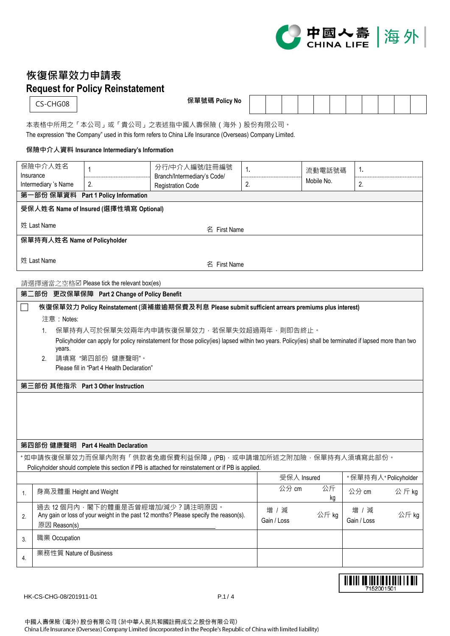

<u> Albiai de Intellectual i e dil</u> 7152001501

## **恢復保單效力申請表 Request for Policy Reinstatement**

CS-CHG08

**保單號碼 Policy No**

本表格中所用之「本公司」或「貴公司」之表述指中國人壽保險(海外)股份有限公司。 The expression "the Company" used in this form refers to China Life Insurance (Overseas) Company Limited.

## **保險中介人資料 Insurance Intermediary's Information**

|                                                                                                                                                                                                   | 保險中介人姓名<br>Insurance                                                                                       | 1                                                                                         | 分行/中介人編號/註冊編號                                                                                      | 1. |             | 流動電話號碼 | 1.          |                     |  |  |  |
|---------------------------------------------------------------------------------------------------------------------------------------------------------------------------------------------------|------------------------------------------------------------------------------------------------------------|-------------------------------------------------------------------------------------------|----------------------------------------------------------------------------------------------------|----|-------------|--------|-------------|---------------------|--|--|--|
|                                                                                                                                                                                                   | Intermediary 's Name                                                                                       | 2.                                                                                        | Branch/Intermediary's Code/<br><b>Registration Code</b>                                            | 2. | Mobile No.  |        | 2.          |                     |  |  |  |
|                                                                                                                                                                                                   | 第一部份 保單資料                                                                                                  | Part 1 Policy Information                                                                 |                                                                                                    |    |             |        |             |                     |  |  |  |
|                                                                                                                                                                                                   |                                                                                                            | 受保人姓名 Name of Insured (選擇性填寫 Optional)                                                    |                                                                                                    |    |             |        |             |                     |  |  |  |
|                                                                                                                                                                                                   | 姓 Last Name                                                                                                |                                                                                           |                                                                                                    |    |             |        |             |                     |  |  |  |
|                                                                                                                                                                                                   | 保單持有人姓名 Name of Policyholder                                                                               |                                                                                           | 名 First Name                                                                                       |    |             |        |             |                     |  |  |  |
|                                                                                                                                                                                                   |                                                                                                            |                                                                                           |                                                                                                    |    |             |        |             |                     |  |  |  |
|                                                                                                                                                                                                   | 姓 Last Name<br>名 First Name                                                                                |                                                                                           |                                                                                                    |    |             |        |             |                     |  |  |  |
|                                                                                                                                                                                                   |                                                                                                            |                                                                                           |                                                                                                    |    |             |        |             |                     |  |  |  |
|                                                                                                                                                                                                   |                                                                                                            | 請選擇適當之空格図 Please tick the relevant box(es)<br>第二部份 更改保單保障 Part 2 Change of Policy Benefit |                                                                                                    |    |             |        |             |                     |  |  |  |
|                                                                                                                                                                                                   |                                                                                                            |                                                                                           | 恢復保單效力 Policy Reinstatement (須補繳逾期保費及利息 Please submit sufficient arrears premiums plus interest)   |    |             |        |             |                     |  |  |  |
|                                                                                                                                                                                                   | 注意: Notes:                                                                                                 |                                                                                           |                                                                                                    |    |             |        |             |                     |  |  |  |
|                                                                                                                                                                                                   | 1.                                                                                                         |                                                                                           |                                                                                                    |    |             |        |             |                     |  |  |  |
| 保單持有人可於保單失效兩年內申請恢復保單效力・若保單失效超過兩年・則即告終止。<br>Policyholder can apply for policy reinstatement for those policy(ies) lapsed within two years. Policy(ies) shall be terminated if lapsed more than two |                                                                                                            |                                                                                           |                                                                                                    |    |             |        |             |                     |  |  |  |
|                                                                                                                                                                                                   | years.                                                                                                     |                                                                                           |                                                                                                    |    |             |        |             |                     |  |  |  |
|                                                                                                                                                                                                   | 2.                                                                                                         | 請填寫"第四部份 健康聲明"。                                                                           |                                                                                                    |    |             |        |             |                     |  |  |  |
|                                                                                                                                                                                                   |                                                                                                            | Please fill in "Part 4 Health Declaration"                                                |                                                                                                    |    |             |        |             |                     |  |  |  |
|                                                                                                                                                                                                   |                                                                                                            | 第三部份 其他指示 Part 3 Other Instruction                                                        |                                                                                                    |    |             |        |             |                     |  |  |  |
|                                                                                                                                                                                                   |                                                                                                            |                                                                                           |                                                                                                    |    |             |        |             |                     |  |  |  |
|                                                                                                                                                                                                   |                                                                                                            |                                                                                           |                                                                                                    |    |             |        |             |                     |  |  |  |
|                                                                                                                                                                                                   |                                                                                                            |                                                                                           |                                                                                                    |    |             |        |             |                     |  |  |  |
|                                                                                                                                                                                                   |                                                                                                            |                                                                                           |                                                                                                    |    |             |        |             |                     |  |  |  |
|                                                                                                                                                                                                   |                                                                                                            | 第四部份 健康聲明 Part 4 Health Declaration                                                       |                                                                                                    |    |             |        |             |                     |  |  |  |
|                                                                                                                                                                                                   |                                                                                                            |                                                                                           | *如申請恢復保單效力而保單內附有「供款者免繳保費利益保障」(PB) · 或申請增加所述之附加險 · 保單持有人須填寫此部份 ·                                    |    |             |        |             |                     |  |  |  |
|                                                                                                                                                                                                   |                                                                                                            |                                                                                           | Policyholder should complete this section if PB is attached for reinstatement or if PB is applied. |    | 受保人 Insured |        |             |                     |  |  |  |
|                                                                                                                                                                                                   |                                                                                                            |                                                                                           |                                                                                                    |    | 公分 cm       | 公斤     |             | +保單持有人+Policyholder |  |  |  |
| 1.                                                                                                                                                                                                | 身高及體重 Height and Weight                                                                                    |                                                                                           |                                                                                                    |    |             | kg     | 公分 cm       | 公斤kg                |  |  |  |
|                                                                                                                                                                                                   |                                                                                                            |                                                                                           | 過去 12個月內, 閣下的體重是否曾經增加/減少?請注明原因。                                                                    |    | 增 / 減       |        | 增 / 減       |                     |  |  |  |
|                                                                                                                                                                                                   | Any gain or loss of your weight in the past 12 months? Please specify the reason(s).<br>2.<br>原因 Reason(s) |                                                                                           |                                                                                                    |    | Gain / Loss | 公斤 kg  | Gain / Loss | 公斤 kg               |  |  |  |
|                                                                                                                                                                                                   | 職業 Occupation                                                                                              |                                                                                           |                                                                                                    |    |             |        |             |                     |  |  |  |
| 3.                                                                                                                                                                                                |                                                                                                            |                                                                                           |                                                                                                    |    |             |        |             |                     |  |  |  |
| 4.                                                                                                                                                                                                | 業務性質 Nature of Business                                                                                    |                                                                                           |                                                                                                    |    |             |        |             |                     |  |  |  |
|                                                                                                                                                                                                   |                                                                                                            |                                                                                           |                                                                                                    |    |             |        |             |                     |  |  |  |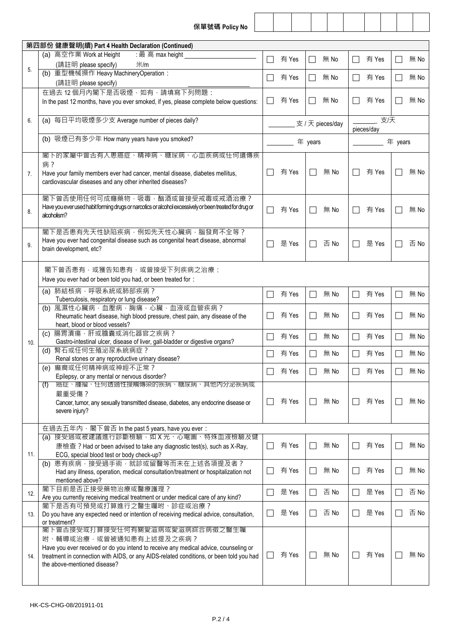|     | 保單號碼 Policy No                                                                                                                                           |       |               |                  |                          |                  |                          |      |
|-----|----------------------------------------------------------------------------------------------------------------------------------------------------------|-------|---------------|------------------|--------------------------|------------------|--------------------------|------|
|     |                                                                                                                                                          |       |               |                  |                          |                  |                          |      |
|     | 第四部份 健康聲明(續) Part 4 Health Declaration (Continued)                                                                                                       |       |               |                  |                          |                  |                          |      |
| 5.  | (a) 高空作業 Work at Height<br>: 最高 max height<br>(請註明 please specify)<br>米/m                                                                                | 有 Yes |               | 無 No             |                          | 有 Yes            |                          | 無 No |
|     | (b) 重型機械操作 Heavy MachineryOperation:<br>(請註明 please specify)                                                                                             | 有 Yes |               | 無 No             | $\mathsf{L}$             | 有 Yes            |                          | 無 No |
|     | 在過去 12個月內閣下是否吸煙, 如有, 請填寫下列問題:                                                                                                                            |       |               |                  |                          |                  |                          |      |
|     | In the past 12 months, have you ever smoked, if yes, please complete below questions:                                                                    | 有 Yes | $\Box$        | 無 No             | $\mathsf{L}$             | 有 Yes            | $\overline{\phantom{a}}$ | 無 No |
| 6.  | (a) 每日平均吸煙多少支 Average number of pieces daily?                                                                                                            |       |               | 支 / 天 pieces/day |                          | 支厌<br>pieces/day |                          |      |
|     | (b) 吸煙已有多少年 How many years have you smoked?                                                                                                              |       | 年 years       |                  |                          |                  | 年 years                  |      |
|     | 閣下的家屬中曾否有人患癌症、精神病、糖尿病、心血疾病或任何遺傳疾                                                                                                                         |       |               |                  |                          |                  |                          |      |
| 7.  | 病?<br>Have your family members ever had cancer, mental disease, diabetes mellitus,<br>cardiovascular diseases and any other inherited diseases?          | 有 Yes |               | 無 No             | $\overline{\phantom{0}}$ | 有 Yes            |                          | 無 No |
| 8.  | 閣下曾否使用任何可成癮藥物,吸毒,酗酒或曾接受戒毒或戒酒治療?<br>Have you ever used habit forming drugs or narcotics or alcohol excessively or been treated for drug or<br>alcoholism? | 有 Yes |               | 無 No             | $\Box$                   | 有 Yes            |                          | 無 No |
| 9.  | 閣下是否患有先天性缺陷疾病,例如先天性心臟病,腦發育不全等?<br>Have you ever had congenital disease such as congenital heart disease, abnormal<br>brain development, etc?             | 是 Yes |               | 否 No             | $\mathbf{I}$             | 是 Yes            |                          | 否 No |
|     | 閣下曾否患有,或獲告知患有,或曾接受下列疾病之治療:<br>Have you ever had or been told you had, or been treated for:                                                               |       |               |                  |                          |                  |                          |      |
|     | (a) 肺結核病,呼吸系統或肺部疾病?<br>Tuberculosis, respiratory or lung disease?                                                                                        | 有 Yes | $\mathcal{L}$ | 無 No             |                          | 有 Yes            |                          | 無 No |
|     | (b) 風濕性心臟病 · 血壓病 · 胸痛 · 心臟 · 血液或血管疾病 ?<br>Rheumatic heart disease, high blood pressure, chest pain, any disease of the<br>heart, blood or blood vessels? | 有 Yes |               | 無 No             |                          | 有 Yes            |                          | 無 No |
| 10. | 腸胃潰瘍,肝或膽囊或消化器官之疾病?<br>(c)<br>Gastro-intestinal ulcer, disease of liver, gall-bladder or digestive organs?                                                | 有 Yes |               | 無 No             | $\sim$                   | 有 Yes            |                          | 無 No |
|     | (d) 腎石或任何生殖泌尿系統病症?<br>Renal stones or any reproductive urinary disease?                                                                                  | 有 Yes |               | 無 No             |                          | 有 Yes            |                          | 無 No |
|     | (e) 癲癎或任何精神病或神經不正常?<br>Epilepsy, or any mental or nervous disorder?                                                                                      | 有 Yes |               | 無 No             |                          | 有 Yes            |                          | 無 No |
|     | 癌症、腫瘤、仕何透過性接觸傳染的疾病、糖尿病、其他内分泌疾病或<br>(f)                                                                                                                   |       |               |                  |                          |                  |                          |      |
|     | 嚴重受傷?<br>Cancer, tumor, any sexually transmitted disease, diabetes, any endocrine disease or<br>severe injury?                                           | 有 Yes |               | 無 No             |                          | 有 Yes            |                          | 無 No |
|     | 在過去五年內, 閣下曾否 In the past 5 years, have you ever:                                                                                                         |       |               |                  |                          |                  |                          |      |
|     | (a) 接受過或被建議進行診斷檢驗, 如 X 光、心電圖、特殊血液檢驗及健                                                                                                                    |       |               |                  |                          |                  |                          |      |
| 11. | 康檢查? Had or been advised to take any diagnostic test(s), such as X-Ray,<br>ECG, special blood test or body check-up?                                     | 有 Yes |               | 無 No             |                          | 有 Yes            |                          | 無 No |
|     | (b) 患有疾病, 接受過手術, 就診或留醫等而未在上述各項提及者?<br>Had any illness, operation, medical consultation/treatment or hospitalization not<br>mentioned above?              | 有 Yes |               | 無 No             |                          | 有 Yes            |                          | 無 No |
| 12. | 閣下目前是否正接受藥物治療或醫療護理?<br>Are you currently receiving medical treatment or under medical care of any kind?                                                  | 是 Yes |               | 否 No             |                          | 是 Yes            |                          | 否No  |
| 13. | 閣下是否有可預見或打算進行之醫生囑咐、診症或治療?<br>Do you have any expected need or intention of receiving medical advice, consultation,                                       | 是 Yes |               | 否 No             |                          | 是 Yes            |                          | 否 No |
|     | or treatment?<br>閣卜曾否接受或打算接受仕何有關愛滋病或愛滋病綜合病徵之醫生囑                                                                                                          |       |               |                  |                          |                  |                          |      |
|     | 咐、輔導或治療, 或曾被通知患有上述提及之疾病?<br>Have you ever received or do you intend to receive any medical advice, counseling or                                         |       |               |                  |                          |                  |                          |      |
| 14. | treatment in connection with AIDS, or any AIDS-related conditions, or been told you had<br>the above-mentioned disease?                                  | 有 Yes |               | 無 No             |                          | 有 Yes            |                          | 無 No |
|     |                                                                                                                                                          |       |               |                  |                          |                  |                          |      |

 $\mathbf{I}$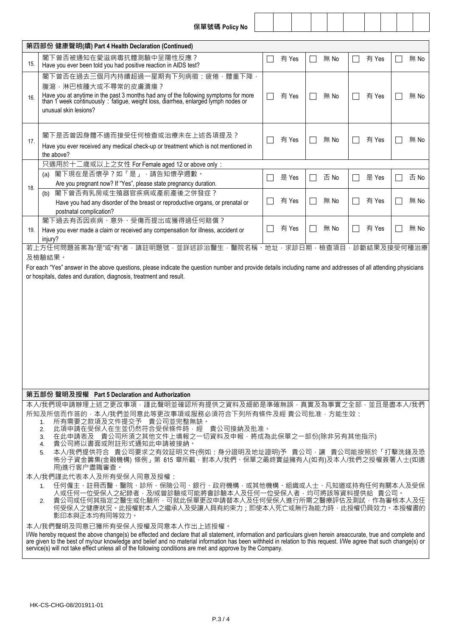|  |  | 保單號碼 Policy No |  |
|--|--|----------------|--|
|--|--|----------------|--|

|                                                                                                                                                                                                                                                                                                                                                                                                                                                                                                                                                                                                                                                                                                                                                                                                                                                                                                                                                                                                                                                                                                                                                                                                                                                              | ∧\=== ว\\¤na' г∪н∪ y iv∪                                                                                                                                                                                                                                 |    |       |  |      |                          |       |                          |      |
|--------------------------------------------------------------------------------------------------------------------------------------------------------------------------------------------------------------------------------------------------------------------------------------------------------------------------------------------------------------------------------------------------------------------------------------------------------------------------------------------------------------------------------------------------------------------------------------------------------------------------------------------------------------------------------------------------------------------------------------------------------------------------------------------------------------------------------------------------------------------------------------------------------------------------------------------------------------------------------------------------------------------------------------------------------------------------------------------------------------------------------------------------------------------------------------------------------------------------------------------------------------|----------------------------------------------------------------------------------------------------------------------------------------------------------------------------------------------------------------------------------------------------------|----|-------|--|------|--------------------------|-------|--------------------------|------|
|                                                                                                                                                                                                                                                                                                                                                                                                                                                                                                                                                                                                                                                                                                                                                                                                                                                                                                                                                                                                                                                                                                                                                                                                                                                              | 第四部份 健康聲明(續) Part 4 Health Declaration (Continued)                                                                                                                                                                                                       |    |       |  |      |                          |       |                          |      |
| 15.                                                                                                                                                                                                                                                                                                                                                                                                                                                                                                                                                                                                                                                                                                                                                                                                                                                                                                                                                                                                                                                                                                                                                                                                                                                          | 閣下曾否被通知在愛滋病毒抗體測驗中呈陽性反應?<br>Have you ever been told you had positive reaction in AIDS test?                                                                                                                                                               |    | 有 Yes |  | 無 No |                          | 有 Yes |                          | 無 No |
| 16.                                                                                                                                                                                                                                                                                                                                                                                                                                                                                                                                                                                                                                                                                                                                                                                                                                                                                                                                                                                                                                                                                                                                                                                                                                                          | 閣下曾否在過去三個月內持續超過一星期有下列病徵:疲倦,體重下降,<br>腹瀉,淋巴核腫大或不尋常的皮膚潰瘍?<br>Have you at anytime in the past 3 months had any of the following symptoms for more than 1 week continuously: fatigue, weight loss, diarrhea, enlarged lymph nodes or<br>unusual skin lesions? | L. | 有 Yes |  | 無 No | $\overline{\phantom{a}}$ | 有 Yes | $\overline{\phantom{a}}$ | 無 No |
| 17.                                                                                                                                                                                                                                                                                                                                                                                                                                                                                                                                                                                                                                                                                                                                                                                                                                                                                                                                                                                                                                                                                                                                                                                                                                                          | 閣下是否曾因身體不適而接受任何檢查或治療未在上述各項提及?<br>Have you ever received any medical check-up or treatment which is not mentioned in<br>the above?                                                                                                                        |    | 有 Yes |  | 無 No |                          | 有 Yes |                          | 無 No |
| 18.                                                                                                                                                                                                                                                                                                                                                                                                                                                                                                                                                                                                                                                                                                                                                                                                                                                                                                                                                                                                                                                                                                                                                                                                                                                          | 只適用於十二歲或以上之女性 For Female aged 12 or above only:<br>閣下現在是否懷孕?如「是」,請告知懷孕週數。<br>(a)<br>Are you pregnant now? If "Yes", please state pregnancy duration.                                                                                                     |    | 是 Yes |  | 否 No | $\mathcal{L}$            | 是 Yes |                          | 否 No |
|                                                                                                                                                                                                                                                                                                                                                                                                                                                                                                                                                                                                                                                                                                                                                                                                                                                                                                                                                                                                                                                                                                                                                                                                                                                              | 閣下曾否有乳房或生殖器官疾病或產前產後之併發症?<br>(b)<br>Have you had any disorder of the breast or reproductive organs, or prenatal or<br>postnatal complication?                                                                                                             |    | 有 Yes |  | 無 No |                          | 有 Yes |                          | 無 No |
| 19.                                                                                                                                                                                                                                                                                                                                                                                                                                                                                                                                                                                                                                                                                                                                                                                                                                                                                                                                                                                                                                                                                                                                                                                                                                                          | 閣下過去有否因疾病、意外、受傷而提出或獲得過任何賠償?<br>Have you ever made a claim or received any compensation for illness, accident or<br>injury?                                                                                                                               |    | 有 Yes |  | 無 No |                          | 有 Yes |                          | 無 No |
|                                                                                                                                                                                                                                                                                                                                                                                                                                                                                                                                                                                                                                                                                                                                                                                                                                                                                                                                                                                                                                                                                                                                                                                                                                                              | or hospitals, dates and duration, diagnosis, treatment and result.                                                                                                                                                                                       |    |       |  |      |                          |       |                          |      |
| 第五部份 聲明及授權 Part 5 Declaration and Authorization                                                                                                                                                                                                                                                                                                                                                                                                                                                                                                                                                                                                                                                                                                                                                                                                                                                                                                                                                                                                                                                                                                                                                                                                              |                                                                                                                                                                                                                                                          |    |       |  |      |                          |       |                          |      |
| 本人/我們現申請辦理上述之更改事項,謹此聲明並確認所有提供之資料及細節是準確無誤,真實及為事實之全部,並且是盡本人/我們<br>所知及所信而作答的·本人/我們並同意此等更改事項或服務必須符合下列所有條件及經 貴公司批准·方能生效:<br>所有需要之款項及文件提交予 貴公司並完整無缺。<br>1.<br>此項申請在受保人在生並仍然符合受保條件時,經 貴公司接納及批准。<br>2.<br>在此申請表及 貴公司所須之其他文件上填報之一切資料及申報,將成為此保單之一部份(除非另有其他指示)<br>3.<br>貴公司將以書面或附註形式通知此申請被接納。<br>4.<br>本人/我們提供符合 貴公司要求之有效証明文件(例如:身分證明及地址證明)予 貴公司·讓 貴公司能按照於「打擊洗錢及恐<br>5.<br>怖分子資金籌集(金融機構) 條例」第 615 章所載 <sup>;</sup> 對本人/我們、保單之最終實益擁有人(如有)及本人/我們之授權簽署人士(如適<br>用)進行客户盡職審查。<br>本人/我們謹此代表本人及所有受保人同意及授權:<br>任何僱主、註冊西醫、醫院、診所、保險公司、銀行、政府機構.或其他機構、組織或人士、凡知道或持有任何有關本人及受保<br>1.<br>人或任何一位受保人之紀錄者,及/或曾診驗或可能將會診驗本人及任何一位受保人者,均可將該等資料提供給 貴公司。<br>貴公司或任何其指定之醫生或化驗所,可就此保單更改申請替本人及任何受保人進行所需之醫療評估及測試,作為審核本人及任<br>2.<br>何受保人之健康狀況。此授權對本人之繼承人及受讓人具有約束力;即使本人死亡或無行為能力時,此授權仍具效力。本授權書的<br>影印本與正本均有同等效力。<br>本人/我們聲明及同意已獲所有受保人授權及同意本人作出上述授權。<br>I/We hereby request the above change(s) be effected and declare that all statement, information and particulars given herein areaccurate, true and complete and<br>are given to the best of my/our knowledge and belief and no material information has been withheld in relation to this request. I/We agree that such change(s) or<br>service(s) will not take effect unless all of the following conditions are met and approve by the Company. |                                                                                                                                                                                                                                                          |    |       |  |      |                          |       |                          |      |